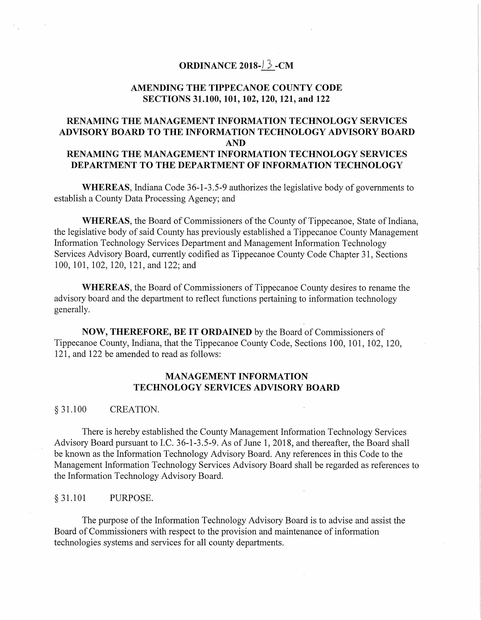# **ORDINANCE 2018-} 3 -CM**

# **AMENDING THE TIPPECANOE COUNTY CODE SECTIONS 31.100, 101, 102, 120, 121, and 122**

# **RENAMING THE MANAGEMENT INFORMATION TECHNOLOGY SERVICES ADVISORY BOARD TO THE INFORMATION TECHNOLOGY ADVISORY BOARD AND RENAMING THE MANAGEMENT INFORMATION TECHNOLOGY SERVICES DEPARTMENT TO THE DEPARTMENT OF INFORMATION TECHNOLOGY**

**WHEREAS,** Indiana Code 36-1-3.5-9 authorizes the legislative body of governments to establish a County Data Processing Agency; and

**WHEREAS,** the Board of Commissioners of the County of Tippecanoe, State of Indiana, the legislative body of said County has previously established a Tippecanoe County Management Information Technology Services Department and Management Information Technology Services Advisory Board, currently codified as Tippecanoe County Code Chapter 31, Sections 100, 101, 102, 120, 121, and 122; and

**WHEREAS,** the Board of Commissioners of Tippecanoe County desires to rename the advisory board and the department to reflect functions pertaining to information technology generally.

**NOW, THEREFORE, BE IT ORDAINED** by the Board of Commissioners of Tippecanoe County, Indiana, that the Tippecanoe County Code, Sections 100, 101, 102, 120, 121, and 122 be amended to read as follows:

# **MANAGEMENT INFORMATION TECHNOLOGY SERVICES ADVISORY BOARD**

#### § 31.100 CREATION.

There is hereby established the County Management Information Technology Services Advisory Board pursuant to I.C. 36-1-3.5-9. As of June 1, 2018, and thereafter, the Board shall be known as the Information Technology Advisory Board. Any references in this Code to the Management Information Technology Services Advisory Board shall be regarded as references to the Information Technology Advisory Board.

#### § 31.101 PURPOSE.

The purpose of the Information Technology Advisory Board is to advise and assist the Board of Commissioners with respect to the provision and maintenance of information technologies systems and services for all county departments.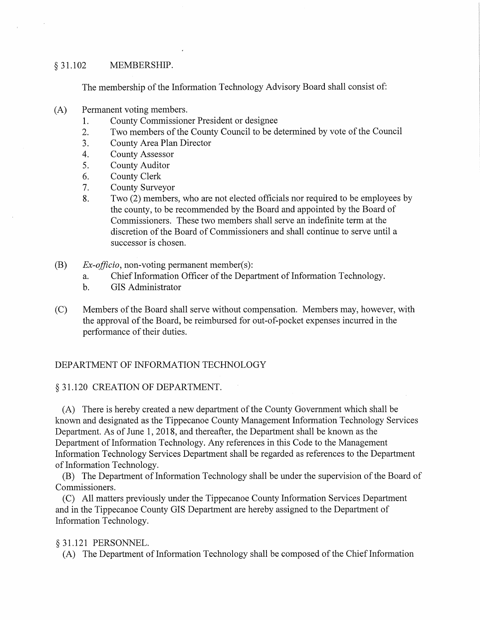### § 31.102 MEMBERSHIP.

The membership of the Information Technology Advisory Board shall consist of:

- (A) Permanent voting members.
	- 1. County Commissioner President or designee
	- 2. Two members of the County Council to be determined by vote of the Council
	- 3. County Area Plan Director
	- 4. County Assessor
	- 5. County Auditor
	- 6. County Clerk
	- 7. County Surveyor
	- 8. Two (2) members, who are not elected officials nor required to be employees by the county, to be recommended by the Board and appointed by the Board of Commissioners. These two members shall serve an indefinite term at the discretion of the Board of Commissioners and shall continue to serve until a successor is chosen.
- (B) *Ex-officio,* non-voting permanent member(s):
	- a. Chief Information Officer of the Department of Information Technology.
	- b. GIS Administrator
- (C) Members of the Board shall serve without compensation. Members may, however, with the approval of the Board, be reimbursed for out-of-pocket expenses incurred in the performance of their duties.

# DEPARTMENT OF INFORMATION TECHNOLOGY

# § 31.120 CREATION OF DEPARTMENT.

(A) There is hereby created a new department of the County Government which shall be known and designated as the Tippecanoe County Management Information Technology Services Department. As of June 1, 2018, and thereafter, the Department shall be known as the Department of Information Technology. Any references in this Code to the Management Information Technology Services Department shall be regarded as references to the Department of Information Technology.

(B) The Department of Information Technology shall be under the supervision of the Board of Commissioners.

(C) All matters previously under the Tippecanoe County Information Services Department and in the Tippecanoe County GIS Department are hereby assigned to the Department of Information Technology.

# § 31.121 PERSONNEL.

(A) The Department of Information Technology shall be composed of the Chief Information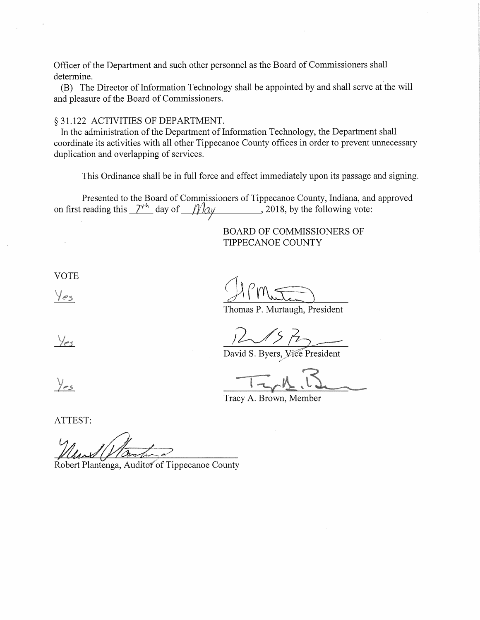Officer of the Department and such other personnel as the Board of Commissioners shall determine.

(B) The Director of Information Technology shall be appointed by and shall serve at the will and pleasure of the Board of Commissioners.

#### § 31.122 ACTIVITIES OF DEPARTMENT.

In the administration of the Department of Information Technology, the Department shall coordinate its activities with all other Tippecanoe County offices in order to prevent unnecessary duplication and overlapping of services.

This Ordinance shall be in full force and effect immediately upon its passage and signing.

Presented to the Board of Commissioners of Tippecanoe County, Indiana, and approved on first reading this  $\frac{\gamma + k}{\gamma}$  day of  $\frac{\gamma}{\alpha y}$ , 2018, by the following vote: I

> BOARD OF COMMISSIONERS OF TIPPECANOE COUNTY

VOTE

 $Y_{es}$ 

Thomas P. Murtaugh, President

Yes

 $i$  in  $k$ 

David S. Byers, *Vi*ce President

Tracy A. Brown, Member

ATTEST:

Robert Plantenga, Auditor of Tippecanoe County

 $y_{es}$